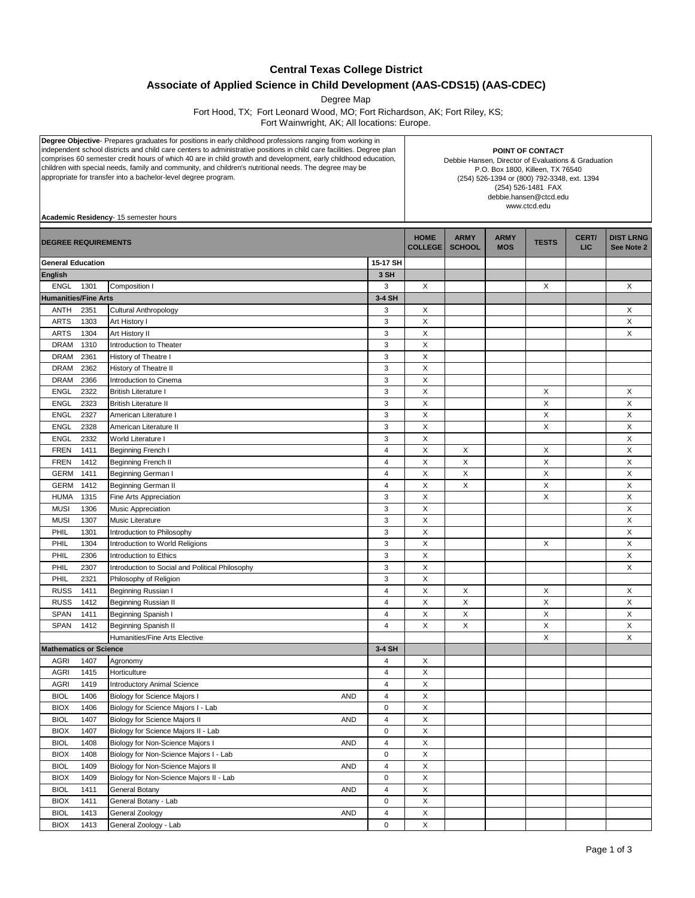## **Central Texas College District**

## **Associate of Applied Science in Child Development (AAS-CDS15) (AAS-CDEC)**

Degree Map

Fort Hood, TX; Fort Leonard Wood, MO; Fort Richardson, AK; Fort Riley, KS;

Fort Wainwright, AK; All locations: Europe.

| <b>Degree Objective</b> Prepares graduates for positions in early childhood professions ranging from working in<br>independent school districts and child care centers to administrative positions in child care facilities. Degree plan<br>comprises 60 semester credit hours of which 40 are in child growth and development, early childhood education,<br>children with special needs, family and community, and children's nutritional needs. The degree may be<br>appropriate for transfer into a bachelor-level degree program.<br>Academic Residency- 15 semester hours |                                                       |                |                               | POINT OF CONTACT<br>Debbie Hansen, Director of Evaluations & Graduation<br>P.O. Box 1800, Killeen, TX 76540<br>(254) 526-1394 or (800) 792-3348, ext. 1394<br>(254) 526-1481 FAX<br>debbie.hansen@ctcd.edu<br>www.ctcd.edu |                           |              |               |                                |  |  |  |
|---------------------------------------------------------------------------------------------------------------------------------------------------------------------------------------------------------------------------------------------------------------------------------------------------------------------------------------------------------------------------------------------------------------------------------------------------------------------------------------------------------------------------------------------------------------------------------|-------------------------------------------------------|----------------|-------------------------------|----------------------------------------------------------------------------------------------------------------------------------------------------------------------------------------------------------------------------|---------------------------|--------------|---------------|--------------------------------|--|--|--|
|                                                                                                                                                                                                                                                                                                                                                                                                                                                                                                                                                                                 |                                                       |                |                               |                                                                                                                                                                                                                            |                           |              |               |                                |  |  |  |
| <b>DEGREE REQUIREMENTS</b>                                                                                                                                                                                                                                                                                                                                                                                                                                                                                                                                                      |                                                       |                | <b>HOME</b><br><b>COLLEGE</b> | <b>ARMY</b><br><b>SCHOOL</b>                                                                                                                                                                                               | <b>ARMY</b><br><b>MOS</b> | <b>TESTS</b> | CERT/<br>LIC. | <b>DIST LRNG</b><br>See Note 2 |  |  |  |
| <b>General Education</b>                                                                                                                                                                                                                                                                                                                                                                                                                                                                                                                                                        |                                                       | 15-17 SH       |                               |                                                                                                                                                                                                                            |                           |              |               |                                |  |  |  |
| <b>English</b>                                                                                                                                                                                                                                                                                                                                                                                                                                                                                                                                                                  |                                                       | 3 SH           |                               |                                                                                                                                                                                                                            |                           |              |               |                                |  |  |  |
| <b>ENGL</b><br>1301                                                                                                                                                                                                                                                                                                                                                                                                                                                                                                                                                             | Composition I                                         | 3              | X                             |                                                                                                                                                                                                                            |                           | Χ            |               | Χ                              |  |  |  |
| <b>Humanities/Fine Arts</b>                                                                                                                                                                                                                                                                                                                                                                                                                                                                                                                                                     |                                                       | 3-4 SH         |                               |                                                                                                                                                                                                                            |                           |              |               |                                |  |  |  |
| <b>ANTH</b><br>2351                                                                                                                                                                                                                                                                                                                                                                                                                                                                                                                                                             | Cultural Anthropology                                 | 3              | X                             |                                                                                                                                                                                                                            |                           |              |               | Χ                              |  |  |  |
| <b>ARTS</b><br>1303                                                                                                                                                                                                                                                                                                                                                                                                                                                                                                                                                             | Art History I                                         | 3              | Χ                             |                                                                                                                                                                                                                            |                           |              |               | X                              |  |  |  |
| <b>ARTS</b><br>1304                                                                                                                                                                                                                                                                                                                                                                                                                                                                                                                                                             | Art History II                                        | 3              | X                             |                                                                                                                                                                                                                            |                           |              |               | X                              |  |  |  |
| <b>DRAM</b><br>1310                                                                                                                                                                                                                                                                                                                                                                                                                                                                                                                                                             | Introduction to Theater                               | 3              | X                             |                                                                                                                                                                                                                            |                           |              |               |                                |  |  |  |
| <b>DRAM</b><br>2361                                                                                                                                                                                                                                                                                                                                                                                                                                                                                                                                                             | History of Theatre I                                  | 3              | X                             |                                                                                                                                                                                                                            |                           |              |               |                                |  |  |  |
| <b>DRAM</b><br>2362                                                                                                                                                                                                                                                                                                                                                                                                                                                                                                                                                             | History of Theatre II                                 | 3              | X                             |                                                                                                                                                                                                                            |                           |              |               |                                |  |  |  |
| 2366<br><b>DRAM</b>                                                                                                                                                                                                                                                                                                                                                                                                                                                                                                                                                             | Introduction to Cinema                                | 3<br>3         | X                             |                                                                                                                                                                                                                            |                           |              |               |                                |  |  |  |
| 2322<br><b>ENGL</b><br>2323                                                                                                                                                                                                                                                                                                                                                                                                                                                                                                                                                     | <b>British Literature I</b>                           | 3              | X<br>Χ                        |                                                                                                                                                                                                                            |                           | X<br>X       |               | Х<br>X                         |  |  |  |
| <b>ENGL</b><br>2327<br><b>ENGL</b>                                                                                                                                                                                                                                                                                                                                                                                                                                                                                                                                              | <b>British Literature II</b><br>American Literature I | 3              | X                             |                                                                                                                                                                                                                            |                           | X            |               | X                              |  |  |  |
| <b>ENGL</b><br>2328                                                                                                                                                                                                                                                                                                                                                                                                                                                                                                                                                             | American Literature II                                | 3              | X                             |                                                                                                                                                                                                                            |                           | X            |               | Х                              |  |  |  |
| <b>ENGL</b><br>2332                                                                                                                                                                                                                                                                                                                                                                                                                                                                                                                                                             | World Literature I                                    | 3              | X                             |                                                                                                                                                                                                                            |                           |              |               | X                              |  |  |  |
| <b>FREN</b><br>1411                                                                                                                                                                                                                                                                                                                                                                                                                                                                                                                                                             | Beginning French I                                    | $\overline{4}$ | X                             | X                                                                                                                                                                                                                          |                           | X            |               | X                              |  |  |  |
| <b>FREN</b><br>1412                                                                                                                                                                                                                                                                                                                                                                                                                                                                                                                                                             | Beginning French II                                   | 4              | X                             | X                                                                                                                                                                                                                          |                           | X            |               | X                              |  |  |  |
| 1411<br><b>GERM</b>                                                                                                                                                                                                                                                                                                                                                                                                                                                                                                                                                             | Beginning German I                                    | 4              | X                             | X                                                                                                                                                                                                                          |                           | X            |               | Х                              |  |  |  |
| 1412<br><b>GERM</b>                                                                                                                                                                                                                                                                                                                                                                                                                                                                                                                                                             | Beginning German II                                   | 4              | X                             | X                                                                                                                                                                                                                          |                           | X            |               | X                              |  |  |  |
| <b>HUMA</b><br>1315                                                                                                                                                                                                                                                                                                                                                                                                                                                                                                                                                             | Fine Arts Appreciation                                | 3              | Χ                             |                                                                                                                                                                                                                            |                           | X            |               | X                              |  |  |  |
| <b>MUSI</b><br>1306                                                                                                                                                                                                                                                                                                                                                                                                                                                                                                                                                             | Music Appreciation                                    | 3              | X                             |                                                                                                                                                                                                                            |                           |              |               | X                              |  |  |  |
| 1307<br><b>MUSI</b>                                                                                                                                                                                                                                                                                                                                                                                                                                                                                                                                                             | Music Literature                                      | 3              | X                             |                                                                                                                                                                                                                            |                           |              |               | X                              |  |  |  |
| 1301<br>PHIL                                                                                                                                                                                                                                                                                                                                                                                                                                                                                                                                                                    | Introduction to Philosophy                            | 3              | X                             |                                                                                                                                                                                                                            |                           |              |               | X                              |  |  |  |
| PHIL<br>1304                                                                                                                                                                                                                                                                                                                                                                                                                                                                                                                                                                    | Introduction to World Religions                       | 3              | X                             |                                                                                                                                                                                                                            |                           | X            |               | X                              |  |  |  |
| PHIL<br>2306                                                                                                                                                                                                                                                                                                                                                                                                                                                                                                                                                                    | Introduction to Ethics                                | 3              | X                             |                                                                                                                                                                                                                            |                           |              |               | X                              |  |  |  |
| 2307<br>PHIL                                                                                                                                                                                                                                                                                                                                                                                                                                                                                                                                                                    | Introduction to Social and Political Philosophy       | 3              | X                             |                                                                                                                                                                                                                            |                           |              |               | X                              |  |  |  |
| 2321<br>PHIL                                                                                                                                                                                                                                                                                                                                                                                                                                                                                                                                                                    | Philosophy of Religion                                | 3              | X                             |                                                                                                                                                                                                                            |                           |              |               |                                |  |  |  |
| <b>RUSS</b><br>1411                                                                                                                                                                                                                                                                                                                                                                                                                                                                                                                                                             | Beginning Russian I                                   | 4              | Χ                             | X                                                                                                                                                                                                                          |                           | X            |               | Х                              |  |  |  |
| <b>RUSS</b><br>1412                                                                                                                                                                                                                                                                                                                                                                                                                                                                                                                                                             | Beginning Russian II                                  | 4              | X                             | X                                                                                                                                                                                                                          |                           | X            |               | X                              |  |  |  |
| <b>SPAN</b><br>1411                                                                                                                                                                                                                                                                                                                                                                                                                                                                                                                                                             | Beginning Spanish I                                   | 4              | X                             | X                                                                                                                                                                                                                          |                           | X            |               | X                              |  |  |  |
| <b>SPAN</b><br>1412                                                                                                                                                                                                                                                                                                                                                                                                                                                                                                                                                             | Beginning Spanish II                                  | 4              | X                             | X                                                                                                                                                                                                                          |                           | X            |               | X                              |  |  |  |
|                                                                                                                                                                                                                                                                                                                                                                                                                                                                                                                                                                                 | Humanities/Fine Arts Elective                         | 3-4 SH         |                               |                                                                                                                                                                                                                            |                           | X            |               | X                              |  |  |  |
| <b>Mathematics or Science</b><br>AGRI<br>1407                                                                                                                                                                                                                                                                                                                                                                                                                                                                                                                                   | Agronomy                                              | 4              | X                             |                                                                                                                                                                                                                            |                           |              |               |                                |  |  |  |
| <b>AGRI</b><br>1415                                                                                                                                                                                                                                                                                                                                                                                                                                                                                                                                                             | Horticulture                                          | 4              | X                             |                                                                                                                                                                                                                            |                           |              |               |                                |  |  |  |
| <b>AGRI</b><br>1419                                                                                                                                                                                                                                                                                                                                                                                                                                                                                                                                                             | Introductory Animal Science                           | 4              | X                             |                                                                                                                                                                                                                            |                           |              |               |                                |  |  |  |
| <b>BIOL</b><br>1406                                                                                                                                                                                                                                                                                                                                                                                                                                                                                                                                                             | Biology for Science Majors I<br><b>AND</b>            | 4              | X                             |                                                                                                                                                                                                                            |                           |              |               |                                |  |  |  |
| <b>BIOX</b><br>1406                                                                                                                                                                                                                                                                                                                                                                                                                                                                                                                                                             | Biology for Science Majors I - Lab                    | 0              | X                             |                                                                                                                                                                                                                            |                           |              |               |                                |  |  |  |
| <b>BIOL</b><br>1407                                                                                                                                                                                                                                                                                                                                                                                                                                                                                                                                                             | <b>Biology for Science Majors II</b><br>AND           | 4              | X                             |                                                                                                                                                                                                                            |                           |              |               |                                |  |  |  |
| <b>BIOX</b><br>1407                                                                                                                                                                                                                                                                                                                                                                                                                                                                                                                                                             | Biology for Science Majors II - Lab                   | 0              | X                             |                                                                                                                                                                                                                            |                           |              |               |                                |  |  |  |
| 1408<br><b>BIOL</b>                                                                                                                                                                                                                                                                                                                                                                                                                                                                                                                                                             | Biology for Non-Science Majors I<br><b>AND</b>        | 4              | Χ                             |                                                                                                                                                                                                                            |                           |              |               |                                |  |  |  |
| <b>BIOX</b><br>1408                                                                                                                                                                                                                                                                                                                                                                                                                                                                                                                                                             | Biology for Non-Science Majors I - Lab                | 0              | X                             |                                                                                                                                                                                                                            |                           |              |               |                                |  |  |  |
| <b>BIOL</b><br>1409                                                                                                                                                                                                                                                                                                                                                                                                                                                                                                                                                             | Biology for Non-Science Majors II<br><b>AND</b>       | 4              | X                             |                                                                                                                                                                                                                            |                           |              |               |                                |  |  |  |
| <b>BIOX</b><br>1409                                                                                                                                                                                                                                                                                                                                                                                                                                                                                                                                                             | Biology for Non-Science Majors II - Lab               | 0              | X                             |                                                                                                                                                                                                                            |                           |              |               |                                |  |  |  |
| <b>BIOL</b><br>1411                                                                                                                                                                                                                                                                                                                                                                                                                                                                                                                                                             | General Botany<br><b>AND</b>                          | 4              | X                             |                                                                                                                                                                                                                            |                           |              |               |                                |  |  |  |
| <b>BIOX</b><br>1411                                                                                                                                                                                                                                                                                                                                                                                                                                                                                                                                                             | General Botany - Lab                                  | 0              | X                             |                                                                                                                                                                                                                            |                           |              |               |                                |  |  |  |
| <b>BIOL</b><br>1413                                                                                                                                                                                                                                                                                                                                                                                                                                                                                                                                                             | General Zoology<br>AND                                | 4              | X                             |                                                                                                                                                                                                                            |                           |              |               |                                |  |  |  |
| <b>BIOX</b><br>1413                                                                                                                                                                                                                                                                                                                                                                                                                                                                                                                                                             | General Zoology - Lab                                 | 0              | X                             |                                                                                                                                                                                                                            |                           |              |               |                                |  |  |  |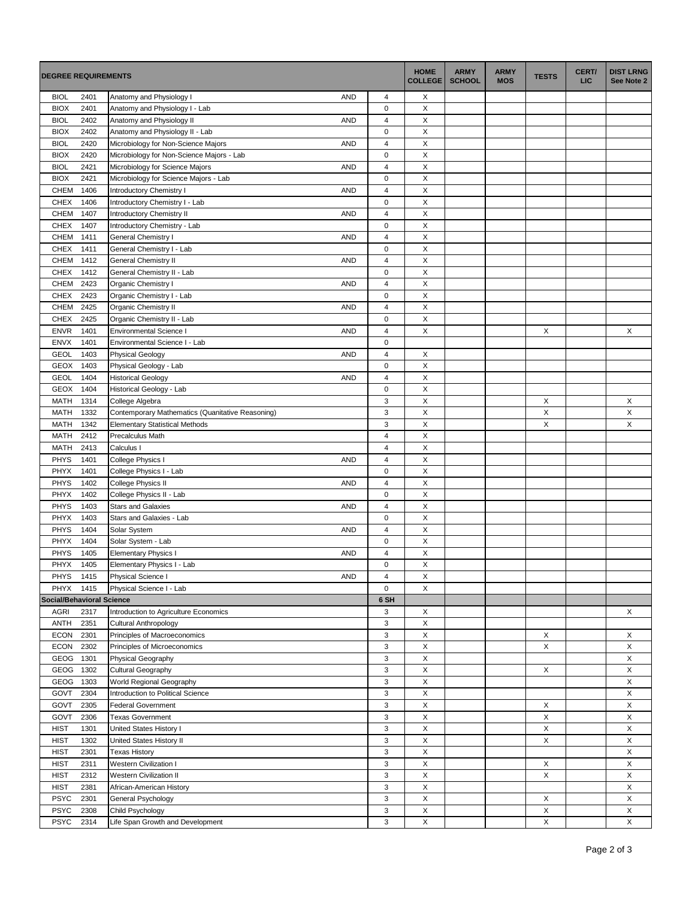| <b>DEGREE REQUIREMENTS</b>       |              |                                                   | <b>HOME</b><br><b>COLLEGE</b> | <b>ARMY</b><br><b>SCHOOL</b> | <b>ARMY</b><br><b>MOS</b> | <b>TESTS</b> | CERT/<br><b>LIC</b> | <b>DIST LRNG</b><br>See Note 2 |        |
|----------------------------------|--------------|---------------------------------------------------|-------------------------------|------------------------------|---------------------------|--------------|---------------------|--------------------------------|--------|
| <b>BIOL</b>                      | 2401         | Anatomy and Physiology I<br><b>AND</b>            | 4                             | Х                            |                           |              |                     |                                |        |
| <b>BIOX</b>                      | 2401         | Anatomy and Physiology I - Lab                    | $\mathbf 0$                   | X                            |                           |              |                     |                                |        |
| <b>BIOL</b>                      | 2402         | Anatomy and Physiology II<br><b>AND</b>           | $\overline{4}$                | X                            |                           |              |                     |                                |        |
| <b>BIOX</b>                      | 2402         | Anatomy and Physiology II - Lab                   | $\mathbf 0$                   | X                            |                           |              |                     |                                |        |
| <b>BIOL</b>                      | 2420         | Microbiology for Non-Science Majors<br><b>AND</b> | $\overline{4}$                | X                            |                           |              |                     |                                |        |
| <b>BIOX</b>                      | 2420         | Microbiology for Non-Science Majors - Lab         | $\mathbf 0$                   | X                            |                           |              |                     |                                |        |
| <b>BIOL</b>                      | 2421         | Microbiology for Science Majors<br><b>AND</b>     | $\sqrt{4}$                    | X                            |                           |              |                     |                                |        |
| <b>BIOX</b>                      | 2421         | Microbiology for Science Majors - Lab             | $\mathbf 0$                   | X                            |                           |              |                     |                                |        |
| <b>CHEM</b>                      | 1406         | Introductory Chemistry I<br><b>AND</b>            | $\overline{4}$                | X                            |                           |              |                     |                                |        |
| <b>CHEX</b>                      | 1406         | Introductory Chemistry I - Lab                    | $\mathbf 0$                   | Χ                            |                           |              |                     |                                |        |
| CHEM                             | 1407         | Introductory Chemistry II<br><b>AND</b>           | $\overline{4}$                | X                            |                           |              |                     |                                |        |
| <b>CHEX</b>                      | 1407         | Introductory Chemistry - Lab                      | $\mathbf 0$                   | X                            |                           |              |                     |                                |        |
| CHEM                             | 1411         | General Chemistry I<br><b>AND</b>                 | $\overline{4}$                | Χ                            |                           |              |                     |                                |        |
| <b>CHEX</b>                      | 1411         | General Chemistry I - Lab                         | 0                             | X                            |                           |              |                     |                                |        |
| CHEM                             | 1412         | General Chemistry II<br><b>AND</b>                | $\overline{4}$                | X                            |                           |              |                     |                                |        |
| CHEX                             | 1412         | General Chemistry II - Lab                        | $\pmb{0}$                     | X                            |                           |              |                     |                                |        |
| CHEM                             | 2423         | Organic Chemistry I<br><b>AND</b>                 | $\overline{4}$                | X                            |                           |              |                     |                                |        |
| <b>CHEX</b>                      | 2423         | Organic Chemistry I - Lab                         | $\pmb{0}$                     | X                            |                           |              |                     |                                |        |
| CHEM                             | 2425         | Organic Chemistry II<br><b>AND</b>                | $\overline{4}$                | X                            |                           |              |                     |                                |        |
| <b>CHEX</b>                      | 2425         | Organic Chemistry II - Lab                        | $\mathbf 0$                   | X                            |                           |              |                     |                                |        |
| <b>ENVR</b>                      | 1401         | <b>AND</b><br><b>Environmental Science I</b>      | $\overline{4}$                | X                            |                           |              | X                   |                                | X      |
| <b>ENVX</b>                      | 1401         | Environmental Science I - Lab                     | $\mathbf 0$                   |                              |                           |              |                     |                                |        |
| <b>GEOL</b>                      | 1403         | <b>Physical Geology</b><br><b>AND</b>             | 4                             | х                            |                           |              |                     |                                |        |
| GEOX                             | 1403         | Physical Geology - Lab                            | $\mathsf 0$                   | Χ                            |                           |              |                     |                                |        |
| <b>GEOL</b>                      | 1404         | <b>Historical Geology</b><br><b>AND</b>           | $\sqrt{4}$                    | Χ                            |                           |              |                     |                                |        |
| <b>GEOX</b>                      | 1404         | Historical Geology - Lab                          | $\pmb{0}$                     | X                            |                           |              |                     |                                |        |
| <b>MATH</b>                      | 1314         | College Algebra                                   | $\sqrt{3}$                    | X                            |                           |              | X                   |                                | X      |
| <b>MATH</b>                      | 1332         | Contemporary Mathematics (Quanitative Reasoning)  | $\sqrt{3}$                    | X                            |                           |              | X                   |                                | X      |
| <b>MATH</b>                      | 1342         | <b>Elementary Statistical Methods</b>             | $\sqrt{3}$                    | X                            |                           |              | X                   |                                | X      |
| <b>MATH</b>                      | 2412         | Precalculus Math                                  | $\overline{4}$                | X                            |                           |              |                     |                                |        |
| <b>MATH</b>                      | 2413         | Calculus I                                        | $\overline{4}$                | X                            |                           |              |                     |                                |        |
| <b>PHYS</b>                      | 1401         | College Physics I<br><b>AND</b>                   | $\overline{4}$                | X                            |                           |              |                     |                                |        |
| <b>PHYX</b>                      | 1401         | College Physics I - Lab                           | $\mathbf 0$                   | X                            |                           |              |                     |                                |        |
| <b>PHYS</b>                      | 1402         | College Physics II<br><b>AND</b>                  | $\overline{4}$                | X                            |                           |              |                     |                                |        |
| PHYX                             | 1402         | College Physics II - Lab                          | $\mathbf 0$                   | X                            |                           |              |                     |                                |        |
| <b>PHYS</b>                      | 1403         | <b>Stars and Galaxies</b><br><b>AND</b>           | $\overline{4}$                | X                            |                           |              |                     |                                |        |
| <b>PHYX</b>                      | 1403         | Stars and Galaxies - Lab                          | $\mathbf 0$                   | X                            |                           |              |                     |                                |        |
| <b>PHYS</b>                      | 1404         | Solar System<br><b>AND</b>                        | $\overline{4}$                | X                            |                           |              |                     |                                |        |
| PHYX                             | 1404         | Solar System - Lab                                | $\mathbf 0$                   | X                            |                           |              |                     |                                |        |
| <b>PHYS</b>                      | 1405         | <b>Elementary Physics I</b><br><b>AND</b>         | $\overline{4}$                | X                            |                           |              |                     |                                |        |
| PHYX                             | 1405         | Elementary Physics I - Lab                        | $\mathbf 0$                   | X                            |                           |              |                     |                                |        |
| <b>PHYS</b>                      | 1415         | Physical Science I<br><b>AND</b>                  | $\overline{4}$                | X                            |                           |              |                     |                                |        |
| PHYX                             | 1415         | Physical Science I - Lab                          | $\mathsf 0$                   | X                            |                           |              |                     |                                |        |
| <b>Social/Behavioral Science</b> |              |                                                   | 6 SH                          |                              |                           |              |                     |                                |        |
| <b>AGRI</b>                      | 2317         | Introduction to Agriculture Economics             | 3                             | X                            |                           |              |                     |                                | X      |
| ANTH                             | 2351         | <b>Cultural Anthropology</b>                      | $\sqrt{3}$                    | X                            |                           |              |                     |                                |        |
| <b>ECON</b>                      | 2301         | Principles of Macroeconomics                      | 3                             | X                            |                           |              | X                   |                                | X      |
| ECON                             | 2302         | Principles of Microeconomics                      | 3                             | X                            |                           |              | X                   |                                | X      |
| GEOG 1301<br>GEOG                | 1302         | Physical Geography                                | 3<br>$\sqrt{3}$               | X<br>X                       |                           |              | $\mathsf X$         |                                | X<br>X |
|                                  |              | Cultural Geography<br>World Regional Geography    | 3                             | X                            |                           |              |                     |                                | X      |
| GEOG<br>GOVT                     | 1303<br>2304 | Introduction to Political Science                 | 3                             | X                            |                           |              |                     |                                | X      |
| GOVT                             | 2305         | <b>Federal Government</b>                         | $\sqrt{3}$                    | X                            |                           |              | X                   |                                | X      |
| GOVT                             | 2306         | <b>Texas Government</b>                           | 3                             | X                            |                           |              | X                   |                                | X      |
| <b>HIST</b>                      | 1301         | United States History I                           | $\sqrt{3}$                    | X                            |                           |              | X                   |                                | X      |
| <b>HIST</b>                      | 1302         | United States History II                          | 3                             | X                            |                           |              | X                   |                                | X      |
| <b>HIST</b>                      | 2301         | <b>Texas History</b>                              | 3                             | X                            |                           |              |                     |                                | X      |
| <b>HIST</b>                      | 2311         | Western Civilization I                            | $\sqrt{3}$                    | X                            |                           |              | X                   |                                | X      |
| <b>HIST</b>                      | 2312         | Western Civilization II                           | 3                             | X                            |                           |              | X                   |                                | X      |
| <b>HIST</b>                      | 2381         | African-American History                          | 3                             | X                            |                           |              |                     |                                | X      |
| <b>PSYC</b>                      | 2301         | General Psychology                                | 3                             | X                            |                           |              | X                   |                                | X      |
| <b>PSYC</b>                      | 2308         | Child Psychology                                  | 3                             | X                            |                           |              | X                   |                                | X      |
| <b>PSYC</b>                      | 2314         | Life Span Growth and Development                  | 3                             | X                            |                           |              | X                   |                                | X      |
|                                  |              |                                                   |                               |                              |                           |              |                     |                                |        |